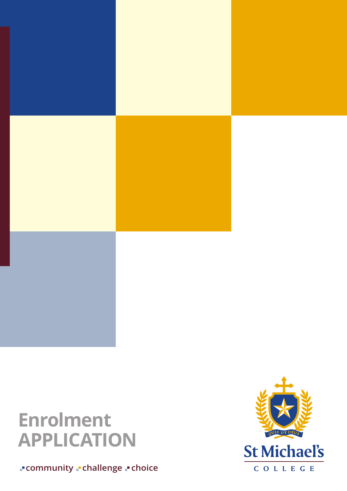

# **Enrolment APPLICATION**

**community - challenge - choice** 

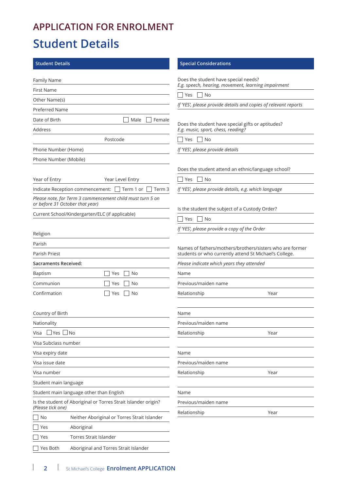# **APPLICATION FOR ENROLMENT**

# **Student Details**

| <b>Student Details</b>                                                              | <b>Special Considerations</b>                                                           |
|-------------------------------------------------------------------------------------|-----------------------------------------------------------------------------------------|
| <b>Family Name</b>                                                                  | Does the student have special needs?                                                    |
| <b>First Name</b>                                                                   | E.g. speech, hearing, movement, learning impairment                                     |
| Other Name(s)                                                                       | Yes<br>No                                                                               |
| <b>Preferred Name</b>                                                               | If 'YES', please provide details and copies of relevant reports                         |
| Date of Birth<br>Male<br>Female                                                     |                                                                                         |
| Address                                                                             | Does the student have special gifts or aptitudes?<br>E.g. music, sport, chess, reading? |
| Postcode                                                                            | Yes     No                                                                              |
| Phone Number (Home)                                                                 | If 'YES', please provide details                                                        |
| Phone Number (Mobile)                                                               |                                                                                         |
|                                                                                     | Does the student attend an ethnic/language school?                                      |
| Year of Entry<br>Year Level Entry                                                   | Yes<br>No                                                                               |
| Indicate Reception commencement:<br>$\vert$ Term 1 or $\vert$<br>  Term 3           | If 'YES', please provide details, e.g. which language                                   |
| Please note, for Term 3 commencement child must turn 5 on                           |                                                                                         |
| or before 31 October that year)                                                     | Is the student the subject of a Custody Order?                                          |
| Current School/Kindergarten/ELC (if applicable)                                     | No<br>Yes                                                                               |
|                                                                                     | If 'YES', please provide a copy of the Order                                            |
| Religion                                                                            |                                                                                         |
| Parish                                                                              | Names of fathers/mothers/brothers/sisters who are former                                |
| Parish Priest                                                                       | students or who currently attend St Michael's College.                                  |
| Sacraments Received:                                                                | Please indicate which years they attended                                               |
| <b>Baptism</b><br>No<br>Yes                                                         | Name                                                                                    |
| Communion<br>No<br>Yes                                                              | Previous/maiden name                                                                    |
| Confirmation<br>Yes<br>No                                                           | Relationship<br>Year                                                                    |
|                                                                                     |                                                                                         |
| Country of Birth                                                                    | Name                                                                                    |
| Nationality                                                                         | Previous/maiden name                                                                    |
| $\perp$ Yes $\parallel$<br>$\Box$ No<br>Visa                                        | Relationship<br>Year                                                                    |
| Visa Subclass number                                                                |                                                                                         |
| Visa expiry date                                                                    | Name                                                                                    |
| Visa issue date                                                                     | Previous/maiden name                                                                    |
| Visa number                                                                         | Relationship<br>Year                                                                    |
| Student main language                                                               |                                                                                         |
| Student main language other than English                                            | Name                                                                                    |
| Is the student of Aboriginal or Torres Strait Islander origin?<br>(Please tick one) | Previous/maiden name                                                                    |
| No<br>Neither Aboriginal or Torres Strait Islander                                  | Relationship<br>Year                                                                    |
| Aboriginal<br>Yes                                                                   |                                                                                         |
| Torres Strait Islander<br>Yes                                                       |                                                                                         |
| Yes Both<br>Aboriginal and Torres Strait Islander                                   |                                                                                         |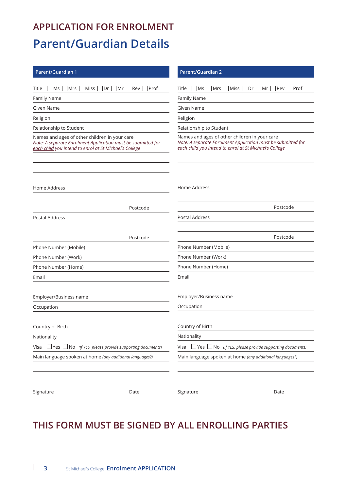# **APPLICATION FOR ENROLMENT Parent/Guardian Details**

| Parent/Guardian 1                                                                                                                                                       | <b>Parent/Guardian 2</b>                                                                                                                                                |
|-------------------------------------------------------------------------------------------------------------------------------------------------------------------------|-------------------------------------------------------------------------------------------------------------------------------------------------------------------------|
| Miss<br>$Dr \mid Mr \mid \text{Rev}$<br>Prof<br>Ms<br>Mrs  <br>Title                                                                                                    | Miss   Dr   Mr   Rev  <br>Mrs  <br>∣Prof<br>Title<br>Ms                                                                                                                 |
| Family Name                                                                                                                                                             | Family Name                                                                                                                                                             |
| Given Name                                                                                                                                                              | Given Name                                                                                                                                                              |
| Religion                                                                                                                                                                | Religion                                                                                                                                                                |
| Relationship to Student                                                                                                                                                 | Relationship to Student                                                                                                                                                 |
| Names and ages of other children in your care<br>Note: A separate Enrolment Application must be submitted for<br>each child you intend to enrol at St Michael's College | Names and ages of other children in your care<br>Note: A separate Enrolment Application must be submitted for<br>each child you intend to enrol at St Michael's College |
| Home Address                                                                                                                                                            | Home Address                                                                                                                                                            |
| Postcode                                                                                                                                                                | Postcode                                                                                                                                                                |
| Postal Address                                                                                                                                                          | Postal Address                                                                                                                                                          |
| Postcode                                                                                                                                                                | Postcode                                                                                                                                                                |
| Phone Number (Mobile)                                                                                                                                                   | Phone Number (Mobile)                                                                                                                                                   |
| Phone Number (Work)                                                                                                                                                     | Phone Number (Work)                                                                                                                                                     |
| Phone Number (Home)                                                                                                                                                     | Phone Number (Home)                                                                                                                                                     |
| Email                                                                                                                                                                   | Email                                                                                                                                                                   |
| Employer/Business name                                                                                                                                                  | Employer/Business name                                                                                                                                                  |
| Occupation                                                                                                                                                              | Occupation                                                                                                                                                              |
| Country of Birth                                                                                                                                                        | Country of Birth                                                                                                                                                        |
| Nationality                                                                                                                                                             | Nationality                                                                                                                                                             |
| $\Box$ No (If YES, please provide supporting documents)<br>_∣Yes∣<br>Visa                                                                                               | Yes L<br>Visa<br>$\Box$ No (If YES, please provide supporting documents)                                                                                                |
| Main language spoken at home (any additional languages?)                                                                                                                | Main language spoken at home (any additional languages?)                                                                                                                |
|                                                                                                                                                                         |                                                                                                                                                                         |
| Signature<br>Date                                                                                                                                                       | Signature<br>Date                                                                                                                                                       |

## **THIS FORM MUST BE SIGNED BY ALL ENROLLING PARTIES**